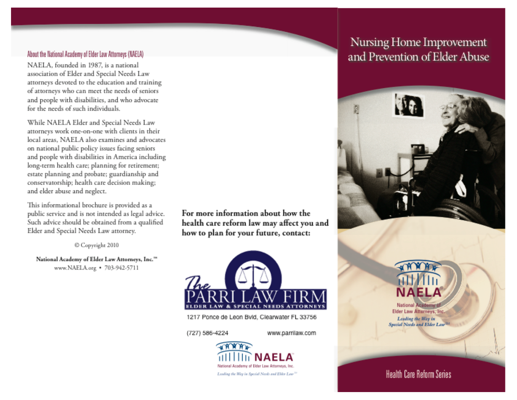#### About the National Academy of Elder Law Attorneys (NAELA)

NAELA, founded in 1987, is a national association of Elder and Special Needs Law attorneys devoted to the education and training of attorneys who can meet the needs of seniors and people with disabilities, and who advocate for the needs of such individuals.

While NAELA Elder and Special Needs Law attorneys work one-on-one with clients in their local areas. NAELA also examines and advocates on national public policy issues facing seniors and people with disabilities in America including long-term health care; planning for retirement; estate planning and probate; guardianship and conservatorship; health care decision making; and elder abuse and neglect.

This informational brochure is provided as a public service and is not intended as legal advice. Such advice should be obtained from a qualified Elder and Special Needs Law attorney.

Copyright 2010

National Academy of Elder Law Attorneys, Inc."" www.NAELA.org • 703-942-5711

For more information about how the health care reform law may affect you and how to plan for your future, contact:



1217 Ponce de Leon Bvld, Clearwater FL 33756

(727) 586-4224

www.parrilaw.com



# Nursing Home Improvement and Prevention of Elder Abuse





**National Academ** Elder Law Attorneys, Inc. Leading the Way in Special Needs and Elder Law

### **Health Care Reform Series**